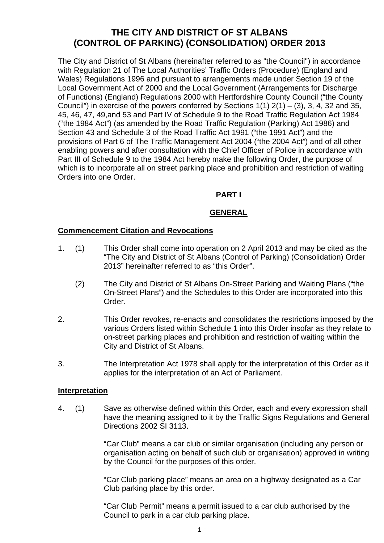# **THE CITY AND DISTRICT OF ST ALBANS (CONTROL OF PARKING) (CONSOLIDATION) ORDER 2013**

The City and District of St Albans (hereinafter referred to as "the Council") in accordance with Regulation 21 of The Local Authorities' Traffic Orders (Procedure) (England and Wales) Regulations 1996 and pursuant to arrangements made under Section 19 of the Local Government Act of 2000 and the Local Government (Arrangements for Discharge of Functions) (England) Regulations 2000 with Hertfordshire County Council ("the County Council") in exercise of the powers conferred by Sections  $1(1)$   $2(1) - (3)$ , 3, 4, 32 and 35, 45, 46, 47, 49,and 53 and Part IV of Schedule 9 to the Road Traffic Regulation Act 1984 ("the 1984 Act") (as amended by the Road Traffic Regulation (Parking) Act 1986) and Section 43 and Schedule 3 of the Road Traffic Act 1991 ("the 1991 Act") and the provisions of Part 6 of The Traffic Management Act 2004 ("the 2004 Act") and of all other enabling powers and after consultation with the Chief Officer of Police in accordance with Part III of Schedule 9 to the 1984 Act hereby make the following Order, the purpose of which is to incorporate all on street parking place and prohibition and restriction of waiting Orders into one Order.

## **PART I**

## **GENERAL**

#### **Commencement Citation and Revocations**

- 1. (1) This Order shall come into operation on 2 April 2013 and may be cited as the "The City and District of St Albans (Control of Parking) (Consolidation) Order 2013" hereinafter referred to as "this Order".
	- (2) The City and District of St Albans On-Street Parking and Waiting Plans ("the On-Street Plans") and the Schedules to this Order are incorporated into this Order.
- 2. This Order revokes, re-enacts and consolidates the restrictions imposed by the various Orders listed within Schedule 1 into this Order insofar as they relate to on-street parking places and prohibition and restriction of waiting within the City and District of St Albans.
- 3. The Interpretation Act 1978 shall apply for the interpretation of this Order as it applies for the interpretation of an Act of Parliament.

#### **Interpretation**

4. (1) Save as otherwise defined within this Order, each and every expression shall have the meaning assigned to it by the Traffic Signs Regulations and General Directions 2002 SI 3113.

> "Car Club" means a car club or similar organisation (including any person or organisation acting on behalf of such club or organisation) approved in writing by the Council for the purposes of this order.

 "Car Club parking place" means an area on a highway designated as a Car Club parking place by this order.

 "Car Club Permit" means a permit issued to a car club authorised by the Council to park in a car club parking place.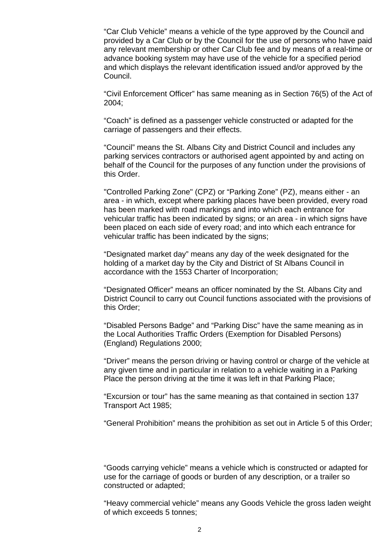"Car Club Vehicle" means a vehicle of the type approved by the Council and provided by a Car Club or by the Council for the use of persons who have paid any relevant membership or other Car Club fee and by means of a real-time or advance booking system may have use of the vehicle for a specified period and which displays the relevant identification issued and/or approved by the Council.

 "Civil Enforcement Officer" has same meaning as in Section 76(5) of the Act of 2004;

 "Coach" is defined as a passenger vehicle constructed or adapted for the carriage of passengers and their effects.

 "Council" means the St. Albans City and District Council and includes any parking services contractors or authorised agent appointed by and acting on behalf of the Council for the purposes of any function under the provisions of this Order.

 "Controlled Parking Zone" (CPZ) or "Parking Zone" (PZ), means either - an area - in which, except where parking places have been provided, every road has been marked with road markings and into which each entrance for vehicular traffic has been indicated by signs; or an area - in which signs have been placed on each side of every road; and into which each entrance for vehicular traffic has been indicated by the signs;

 "Designated market day" means any day of the week designated for the holding of a market day by the City and District of St Albans Council in accordance with the 1553 Charter of Incorporation;

 "Designated Officer" means an officer nominated by the St. Albans City and District Council to carry out Council functions associated with the provisions of this Order;

 "Disabled Persons Badge" and "Parking Disc" have the same meaning as in the Local Authorities Traffic Orders (Exemption for Disabled Persons) (England) Regulations 2000;

 "Driver" means the person driving or having control or charge of the vehicle at any given time and in particular in relation to a vehicle waiting in a Parking Place the person driving at the time it was left in that Parking Place;

 "Excursion or tour" has the same meaning as that contained in section 137 Transport Act 1985;

"General Prohibition" means the prohibition as set out in Article 5 of this Order;

 "Goods carrying vehicle" means a vehicle which is constructed or adapted for use for the carriage of goods or burden of any description, or a trailer so constructed or adapted;

 "Heavy commercial vehicle" means any Goods Vehicle the gross laden weight of which exceeds 5 tonnes;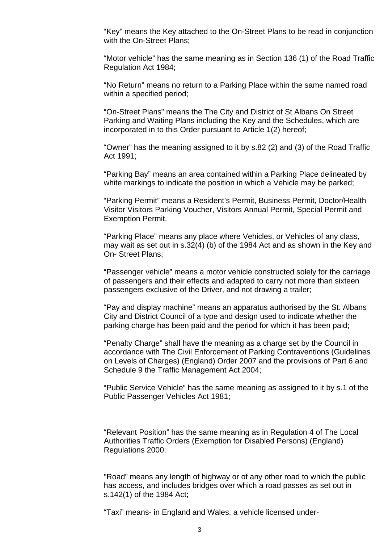"Key" means the Key attached to the On-Street Plans to be read in conjunction with the On-Street Plans;

 "Motor vehicle" has the same meaning as in Section 136 (1) of the Road Traffic Regulation Act 1984;

 "No Return" means no return to a Parking Place within the same named road within a specified period;

 "On-Street Plans" means the The City and District of St Albans On Street Parking and Waiting Plans including the Key and the Schedules, which are incorporated in to this Order pursuant to Article 1(2) hereof;

 "Owner" has the meaning assigned to it by s.82 (2) and (3) of the Road Traffic Act 1991;

 "Parking Bay" means an area contained within a Parking Place delineated by white markings to indicate the position in which a Vehicle may be parked;

 "Parking Permit" means a Resident's Permit, Business Permit, Doctor/Health Visitor Visitors Parking Voucher, Visitors Annual Permit, Special Permit and Exemption Permit.

 "Parking Place" means any place where Vehicles, or Vehicles of any class, may wait as set out in s.32(4) (b) of the 1984 Act and as shown in the Key and On- Street Plans;

 "Passenger vehicle" means a motor vehicle constructed solely for the carriage of passengers and their effects and adapted to carry not more than sixteen passengers exclusive of the Driver, and not drawing a trailer;

 "Pay and display machine" means an apparatus authorised by the St. Albans City and District Council of a type and design used to indicate whether the parking charge has been paid and the period for which it has been paid;

 "Penalty Charge" shall have the meaning as a charge set by the Council in accordance with The Civil Enforcement of Parking Contraventions (Guidelines on Levels of Charges) (England) Order 2007 and the provisions of Part 6 and Schedule 9 the Traffic Management Act 2004;

 "Public Service Vehicle" has the same meaning as assigned to it by s.1 of the Public Passenger Vehicles Act 1981;

 "Relevant Position" has the same meaning as in Regulation 4 of The Local Authorities Traffic Orders (Exemption for Disabled Persons) (England) Regulations 2000;

 "Road" means any length of highway or of any other road to which the public has access, and includes bridges over which a road passes as set out in s.142(1) of the 1984 Act;

"Taxi" means- in England and Wales, a vehicle licensed under-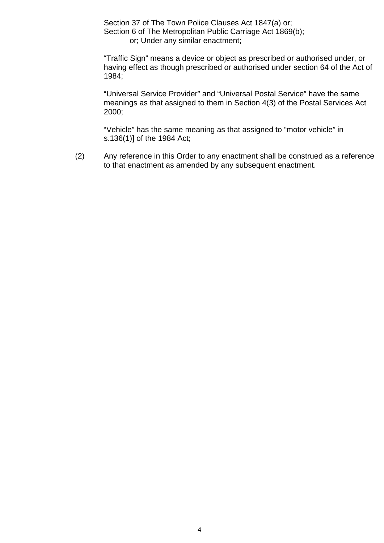Section 37 of The Town Police Clauses Act 1847(a) or; Section 6 of The Metropolitan Public Carriage Act 1869(b); or; Under any similar enactment;

 "Traffic Sign" means a device or object as prescribed or authorised under, or having effect as though prescribed or authorised under section 64 of the Act of 1984;

 "Universal Service Provider" and "Universal Postal Service" have the same meanings as that assigned to them in Section 4(3) of the Postal Services Act 2000;

 "Vehicle" has the same meaning as that assigned to "motor vehicle" in s.136(1)] of the 1984 Act;

 (2) Any reference in this Order to any enactment shall be construed as a reference to that enactment as amended by any subsequent enactment.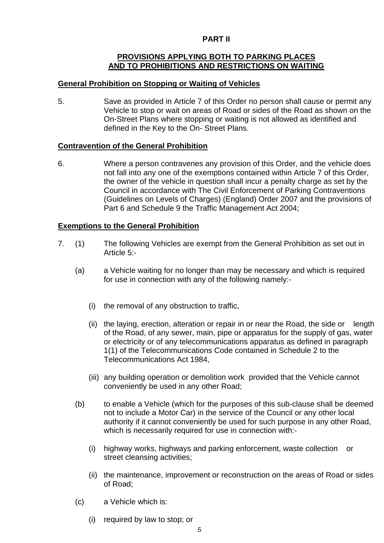## **PART II**

## **PROVISIONS APPLYING BOTH TO PARKING PLACES AND TO PROHIBITIONS AND RESTRICTIONS ON WAITING**

#### **General Prohibition on Stopping or Waiting of Vehicles**

5. Save as provided in Article 7 of this Order no person shall cause or permit any Vehicle to stop or wait on areas of Road or sides of the Road as shown on the On-Street Plans where stopping or waiting is not allowed as identified and defined in the Key to the On- Street Plans.

#### **Contravention of the General Prohibition**

6. Where a person contravenes any provision of this Order, and the vehicle does not fall into any one of the exemptions contained within Article 7 of this Order, the owner of the vehicle in question shall incur a penalty charge as set by the Council in accordance with The Civil Enforcement of Parking Contraventions (Guidelines on Levels of Charges) (England) Order 2007 and the provisions of Part 6 and Schedule 9 the Traffic Management Act 2004;

#### **Exemptions to the General Prohibition**

- 7. (1) The following Vehicles are exempt from the General Prohibition as set out in Article 5:-
	- (a) a Vehicle waiting for no longer than may be necessary and which is required for use in connection with any of the following namely:-
		- (i) the removal of any obstruction to traffic,
		- (ii) the laying, erection, alteration or repair in or near the Road, the side or length of the Road, of any sewer, main, pipe or apparatus for the supply of gas, water or electricity or of any telecommunications apparatus as defined in paragraph 1(1) of the Telecommunications Code contained in Schedule 2 to the Telecommunications Act 1984,
		- (iii) any building operation or demolition work provided that the Vehicle cannot conveniently be used in any other Road;
	- (b) to enable a Vehicle (which for the purposes of this sub-clause shall be deemed not to include a Motor Car) in the service of the Council or any other local authority if it cannot conveniently be used for such purpose in any other Road, which is necessarily required for use in connection with:-
		- (i) highway works, highways and parking enforcement, waste collection or street cleansing activities;
		- (ii) the maintenance, improvement or reconstruction on the areas of Road or sides of Road;
	- (c) a Vehicle which is:
		- (i) required by law to stop; or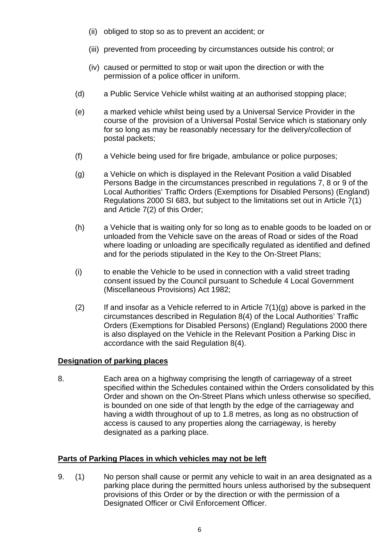- (ii) obliged to stop so as to prevent an accident; or
- (iii) prevented from proceeding by circumstances outside his control; or
- (iv) caused or permitted to stop or wait upon the direction or with the permission of a police officer in uniform.
- (d) a Public Service Vehicle whilst waiting at an authorised stopping place;
- (e) a marked vehicle whilst being used by a Universal Service Provider in the course of the provision of a Universal Postal Service which is stationary only for so long as may be reasonably necessary for the delivery/collection of postal packets;
- (f) a Vehicle being used for fire brigade, ambulance or police purposes;
- (g) a Vehicle on which is displayed in the Relevant Position a valid Disabled Persons Badge in the circumstances prescribed in regulations 7, 8 or 9 of the Local Authorities' Traffic Orders (Exemptions for Disabled Persons) (England) Regulations 2000 SI 683, but subject to the limitations set out in Article 7(1) and Article 7(2) of this Order;
- (h) a Vehicle that is waiting only for so long as to enable goods to be loaded on or unloaded from the Vehicle save on the areas of Road or sides of the Road where loading or unloading are specifically regulated as identified and defined and for the periods stipulated in the Key to the On-Street Plans;
- (i) to enable the Vehicle to be used in connection with a valid street trading consent issued by the Council pursuant to Schedule 4 Local Government (Miscellaneous Provisions) Act 1982;
- (2) If and insofar as a Vehicle referred to in Article  $7(1)(q)$  above is parked in the circumstances described in Regulation 8(4) of the Local Authorities' Traffic Orders (Exemptions for Disabled Persons) (England) Regulations 2000 there is also displayed on the Vehicle in the Relevant Position a Parking Disc in accordance with the said Regulation 8(4).

## **Designation of parking places**

8. Each area on a highway comprising the length of carriageway of a street specified within the Schedules contained within the Orders consolidated by this Order and shown on the On-Street Plans which unless otherwise so specified, is bounded on one side of that length by the edge of the carriageway and having a width throughout of up to 1.8 metres, as long as no obstruction of access is caused to any properties along the carriageway, is hereby designated as a parking place.

## **Parts of Parking Places in which vehicles may not be left**

9. (1) No person shall cause or permit any vehicle to wait in an area designated as a parking place during the permitted hours unless authorised by the subsequent provisions of this Order or by the direction or with the permission of a Designated Officer or Civil Enforcement Officer.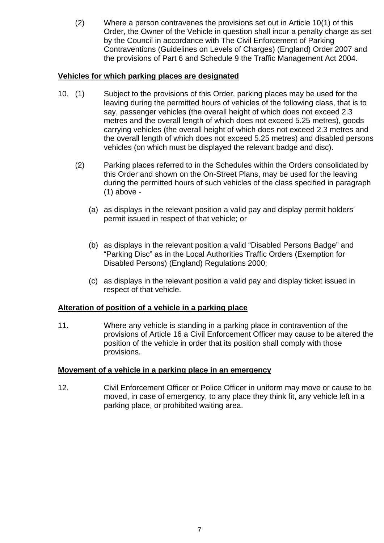(2) Where a person contravenes the provisions set out in Article 10(1) of this Order, the Owner of the Vehicle in question shall incur a penalty charge as set by the Council in accordance with The Civil Enforcement of Parking Contraventions (Guidelines on Levels of Charges) (England) Order 2007 and the provisions of Part 6 and Schedule 9 the Traffic Management Act 2004.

## **Vehicles for which parking places are designated**

- 10. (1) Subject to the provisions of this Order, parking places may be used for the leaving during the permitted hours of vehicles of the following class, that is to say, passenger vehicles (the overall height of which does not exceed 2.3 metres and the overall length of which does not exceed 5.25 metres), goods carrying vehicles (the overall height of which does not exceed 2.3 metres and the overall length of which does not exceed 5.25 metres) and disabled persons vehicles (on which must be displayed the relevant badge and disc).
	- (2) Parking places referred to in the Schedules within the Orders consolidated by this Order and shown on the On-Street Plans, may be used for the leaving during the permitted hours of such vehicles of the class specified in paragraph (1) above -
		- (a) as displays in the relevant position a valid pay and display permit holders' permit issued in respect of that vehicle; or
		- (b) as displays in the relevant position a valid "Disabled Persons Badge" and "Parking Disc" as in the Local Authorities Traffic Orders (Exemption for Disabled Persons) (England) Regulations 2000;
		- (c) as displays in the relevant position a valid pay and display ticket issued in respect of that vehicle.

## **Alteration of position of a vehicle in a parking place**

11. Where any vehicle is standing in a parking place in contravention of the provisions of Article 16 a Civil Enforcement Officer may cause to be altered the position of the vehicle in order that its position shall comply with those provisions.

## **Movement of a vehicle in a parking place in an emergency**

12. Civil Enforcement Officer or Police Officer in uniform may move or cause to be moved, in case of emergency, to any place they think fit, any vehicle left in a parking place, or prohibited waiting area.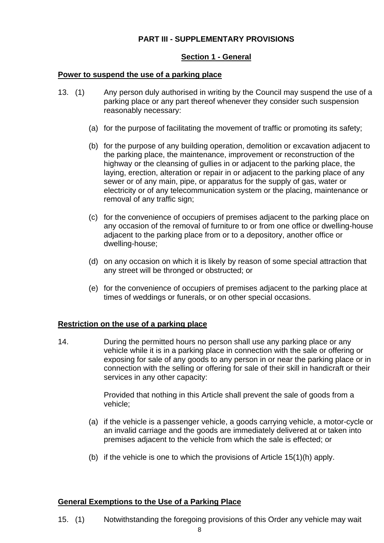## **PART III - SUPPLEMENTARY PROVISIONS**

## **Section 1 - General**

#### **Power to suspend the use of a parking place**

- 13. (1) Any person duly authorised in writing by the Council may suspend the use of a parking place or any part thereof whenever they consider such suspension reasonably necessary:
	- (a) for the purpose of facilitating the movement of traffic or promoting its safety;
	- (b) for the purpose of any building operation, demolition or excavation adjacent to the parking place, the maintenance, improvement or reconstruction of the highway or the cleansing of gullies in or adjacent to the parking place, the laying, erection, alteration or repair in or adjacent to the parking place of any sewer or of any main, pipe, or apparatus for the supply of gas, water or electricity or of any telecommunication system or the placing, maintenance or removal of any traffic sign;
	- (c) for the convenience of occupiers of premises adjacent to the parking place on any occasion of the removal of furniture to or from one office or dwelling-house adjacent to the parking place from or to a depository, another office or dwelling-house;
	- (d) on any occasion on which it is likely by reason of some special attraction that any street will be thronged or obstructed; or
	- (e) for the convenience of occupiers of premises adjacent to the parking place at times of weddings or funerals, or on other special occasions.

## **Restriction on the use of a parking place**

14. During the permitted hours no person shall use any parking place or any vehicle while it is in a parking place in connection with the sale or offering or exposing for sale of any goods to any person in or near the parking place or in connection with the selling or offering for sale of their skill in handicraft or their services in any other capacity:

> Provided that nothing in this Article shall prevent the sale of goods from a vehicle;

- (a) if the vehicle is a passenger vehicle, a goods carrying vehicle, a motor-cycle or an invalid carriage and the goods are immediately delivered at or taken into premises adjacent to the vehicle from which the sale is effected; or
- (b) if the vehicle is one to which the provisions of Article 15(1)(h) apply.

## **General Exemptions to the Use of a Parking Place**

15. (1) Notwithstanding the foregoing provisions of this Order any vehicle may wait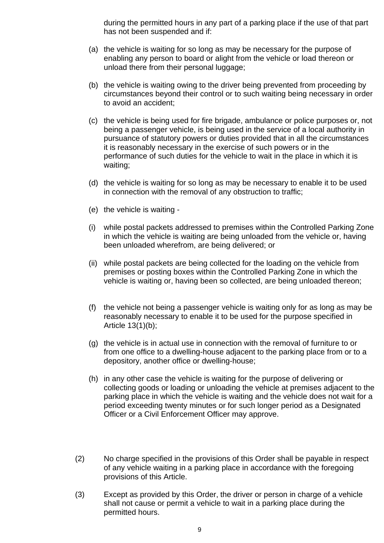during the permitted hours in any part of a parking place if the use of that part has not been suspended and if:

- (a) the vehicle is waiting for so long as may be necessary for the purpose of enabling any person to board or alight from the vehicle or load thereon or unload there from their personal luggage;
- (b) the vehicle is waiting owing to the driver being prevented from proceeding by circumstances beyond their control or to such waiting being necessary in order to avoid an accident;
- (c) the vehicle is being used for fire brigade, ambulance or police purposes or, not being a passenger vehicle, is being used in the service of a local authority in pursuance of statutory powers or duties provided that in all the circumstances it is reasonably necessary in the exercise of such powers or in the performance of such duties for the vehicle to wait in the place in which it is waiting;
- (d) the vehicle is waiting for so long as may be necessary to enable it to be used in connection with the removal of any obstruction to traffic;
- (e) the vehicle is waiting -
- (i) while postal packets addressed to premises within the Controlled Parking Zone in which the vehicle is waiting are being unloaded from the vehicle or, having been unloaded wherefrom, are being delivered; or
- (ii) while postal packets are being collected for the loading on the vehicle from premises or posting boxes within the Controlled Parking Zone in which the vehicle is waiting or, having been so collected, are being unloaded thereon;
- (f) the vehicle not being a passenger vehicle is waiting only for as long as may be reasonably necessary to enable it to be used for the purpose specified in Article 13(1)(b);
- (g) the vehicle is in actual use in connection with the removal of furniture to or from one office to a dwelling-house adjacent to the parking place from or to a depository, another office or dwelling-house;
- (h) in any other case the vehicle is waiting for the purpose of delivering or collecting goods or loading or unloading the vehicle at premises adjacent to the parking place in which the vehicle is waiting and the vehicle does not wait for a period exceeding twenty minutes or for such longer period as a Designated Officer or a Civil Enforcement Officer may approve.
- (2) No charge specified in the provisions of this Order shall be payable in respect of any vehicle waiting in a parking place in accordance with the foregoing provisions of this Article.
- (3) Except as provided by this Order, the driver or person in charge of a vehicle shall not cause or permit a vehicle to wait in a parking place during the permitted hours.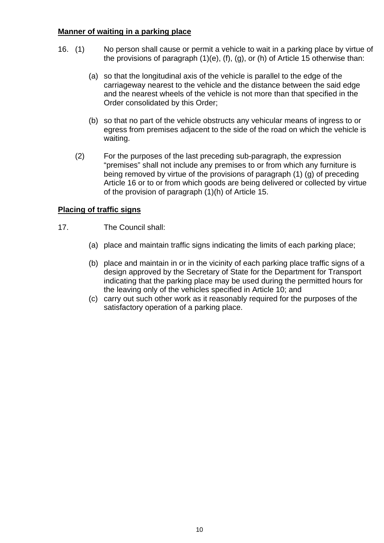## **Manner of waiting in a parking place**

- 16. (1) No person shall cause or permit a vehicle to wait in a parking place by virtue of the provisions of paragraph  $(1)(e)$ ,  $(f)$ ,  $(g)$ , or  $(h)$  of Article 15 otherwise than:
	- (a) so that the longitudinal axis of the vehicle is parallel to the edge of the carriageway nearest to the vehicle and the distance between the said edge and the nearest wheels of the vehicle is not more than that specified in the Order consolidated by this Order;
	- (b) so that no part of the vehicle obstructs any vehicular means of ingress to or egress from premises adjacent to the side of the road on which the vehicle is waiting.
	- (2) For the purposes of the last preceding sub-paragraph, the expression "premises" shall not include any premises to or from which any furniture is being removed by virtue of the provisions of paragraph (1) (g) of preceding Article 16 or to or from which goods are being delivered or collected by virtue of the provision of paragraph (1)(h) of Article 15.

## **Placing of traffic signs**

- 17. The Council shall:
	- (a) place and maintain traffic signs indicating the limits of each parking place;
	- (b) place and maintain in or in the vicinity of each parking place traffic signs of a design approved by the Secretary of State for the Department for Transport indicating that the parking place may be used during the permitted hours for the leaving only of the vehicles specified in Article 10; and
	- (c) carry out such other work as it reasonably required for the purposes of the satisfactory operation of a parking place.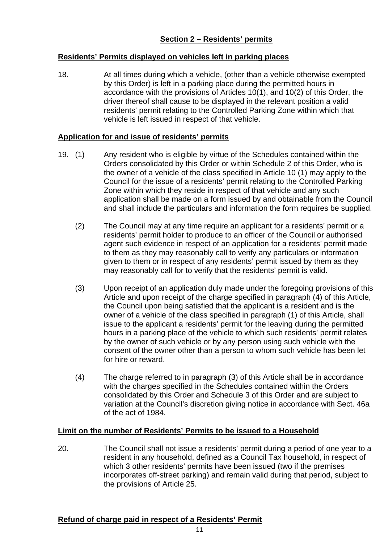## **Residents' Permits displayed on vehicles left in parking places**

18. At all times during which a vehicle, (other than a vehicle otherwise exempted by this Order) is left in a parking place during the permitted hours in accordance with the provisions of Articles 10(1), and 10(2) of this Order, the driver thereof shall cause to be displayed in the relevant position a valid residents' permit relating to the Controlled Parking Zone within which that vehicle is left issued in respect of that vehicle.

## **Application for and issue of residents' permits**

- 19. (1) Any resident who is eligible by virtue of the Schedules contained within the Orders consolidated by this Order or within Schedule 2 of this Order, who is the owner of a vehicle of the class specified in Article 10 (1) may apply to the Council for the issue of a residents' permit relating to the Controlled Parking Zone within which they reside in respect of that vehicle and any such application shall be made on a form issued by and obtainable from the Council and shall include the particulars and information the form requires be supplied.
	- (2) The Council may at any time require an applicant for a residents' permit or a residents' permit holder to produce to an officer of the Council or authorised agent such evidence in respect of an application for a residents' permit made to them as they may reasonably call to verify any particulars or information given to them or in respect of any residents' permit issued by them as they may reasonably call for to verify that the residents' permit is valid.
	- (3) Upon receipt of an application duly made under the foregoing provisions of this Article and upon receipt of the charge specified in paragraph (4) of this Article, the Council upon being satisfied that the applicant is a resident and is the owner of a vehicle of the class specified in paragraph (1) of this Article, shall issue to the applicant a residents' permit for the leaving during the permitted hours in a parking place of the vehicle to which such residents' permit relates by the owner of such vehicle or by any person using such vehicle with the consent of the owner other than a person to whom such vehicle has been let for hire or reward.
	- (4) The charge referred to in paragraph (3) of this Article shall be in accordance with the charges specified in the Schedules contained within the Orders consolidated by this Order and Schedule 3 of this Order and are subject to variation at the Council's discretion giving notice in accordance with Sect. 46a of the act of 1984.

## **Limit on the number of Residents' Permits to be issued to a Household**

20. The Council shall not issue a residents' permit during a period of one year to a resident in any household, defined as a Council Tax household, in respect of which 3 other residents' permits have been issued (two if the premises incorporates off-street parking) and remain valid during that period, subject to the provisions of Article 25.

## **Refund of charge paid in respect of a Residents' Permit**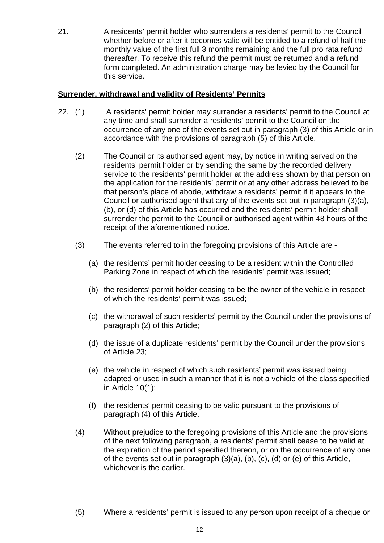21. A residents' permit holder who surrenders a residents' permit to the Council whether before or after it becomes valid will be entitled to a refund of half the monthly value of the first full 3 months remaining and the full pro rata refund thereafter. To receive this refund the permit must be returned and a refund form completed. An administration charge may be levied by the Council for this service.

## **Surrender, withdrawal and validity of Residents' Permits**

- 22. (1) A residents' permit holder may surrender a residents' permit to the Council at any time and shall surrender a residents' permit to the Council on the occurrence of any one of the events set out in paragraph (3) of this Article or in accordance with the provisions of paragraph (5) of this Article.
	- (2) The Council or its authorised agent may, by notice in writing served on the residents' permit holder or by sending the same by the recorded delivery service to the residents' permit holder at the address shown by that person on the application for the residents' permit or at any other address believed to be that person's place of abode, withdraw a residents' permit if it appears to the Council or authorised agent that any of the events set out in paragraph (3)(a), (b), or (d) of this Article has occurred and the residents' permit holder shall surrender the permit to the Council or authorised agent within 48 hours of the receipt of the aforementioned notice.
	- (3) The events referred to in the foregoing provisions of this Article are
		- (a) the residents' permit holder ceasing to be a resident within the Controlled Parking Zone in respect of which the residents' permit was issued;
		- (b) the residents' permit holder ceasing to be the owner of the vehicle in respect of which the residents' permit was issued;
		- (c) the withdrawal of such residents' permit by the Council under the provisions of paragraph (2) of this Article;
		- (d) the issue of a duplicate residents' permit by the Council under the provisions of Article 23;
		- (e) the vehicle in respect of which such residents' permit was issued being adapted or used in such a manner that it is not a vehicle of the class specified in Article 10(1);
		- (f) the residents' permit ceasing to be valid pursuant to the provisions of paragraph (4) of this Article.
	- (4) Without prejudice to the foregoing provisions of this Article and the provisions of the next following paragraph, a residents' permit shall cease to be valid at the expiration of the period specified thereon, or on the occurrence of any one of the events set out in paragraph (3)(a), (b), (c), (d) or (e) of this Article, whichever is the earlier.
	- (5) Where a residents' permit is issued to any person upon receipt of a cheque or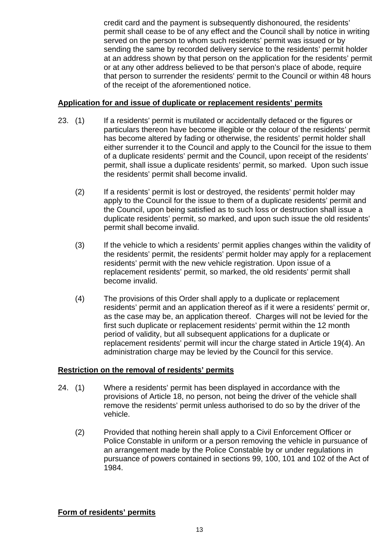credit card and the payment is subsequently dishonoured, the residents' permit shall cease to be of any effect and the Council shall by notice in writing served on the person to whom such residents' permit was issued or by sending the same by recorded delivery service to the residents' permit holder at an address shown by that person on the application for the residents' permit or at any other address believed to be that person's place of abode, require that person to surrender the residents' permit to the Council or within 48 hours of the receipt of the aforementioned notice.

## **Application for and issue of duplicate or replacement residents' permits**

- 23. (1) If a residents' permit is mutilated or accidentally defaced or the figures or particulars thereon have become illegible or the colour of the residents' permit has become altered by fading or otherwise, the residents' permit holder shall either surrender it to the Council and apply to the Council for the issue to them of a duplicate residents' permit and the Council, upon receipt of the residents' permit, shall issue a duplicate residents' permit, so marked. Upon such issue the residents' permit shall become invalid.
	- (2) If a residents' permit is lost or destroyed, the residents' permit holder may apply to the Council for the issue to them of a duplicate residents' permit and the Council, upon being satisfied as to such loss or destruction shall issue a duplicate residents' permit, so marked, and upon such issue the old residents' permit shall become invalid.
	- (3) If the vehicle to which a residents' permit applies changes within the validity of the residents' permit, the residents' permit holder may apply for a replacement residents' permit with the new vehicle registration. Upon issue of a replacement residents' permit, so marked, the old residents' permit shall become invalid.
	- (4) The provisions of this Order shall apply to a duplicate or replacement residents' permit and an application thereof as if it were a residents' permit or, as the case may be, an application thereof. Charges will not be levied for the first such duplicate or replacement residents' permit within the 12 month period of validity, but all subsequent applications for a duplicate or replacement residents' permit will incur the charge stated in Article 19(4). An administration charge may be levied by the Council for this service.

## **Restriction on the removal of residents' permits**

- 24. (1) Where a residents' permit has been displayed in accordance with the provisions of Article 18, no person, not being the driver of the vehicle shall remove the residents' permit unless authorised to do so by the driver of the vehicle.
	- (2) Provided that nothing herein shall apply to a Civil Enforcement Officer or Police Constable in uniform or a person removing the vehicle in pursuance of an arrangement made by the Police Constable by or under regulations in pursuance of powers contained in sections 99, 100, 101 and 102 of the Act of 1984.

**Form of residents' permits**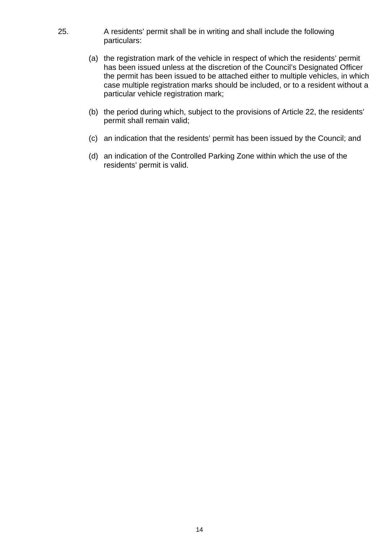- 25. A residents' permit shall be in writing and shall include the following particulars:
	- (a) the registration mark of the vehicle in respect of which the residents' permit has been issued unless at the discretion of the Council's Designated Officer the permit has been issued to be attached either to multiple vehicles, in which case multiple registration marks should be included, or to a resident without a particular vehicle registration mark;
	- (b) the period during which, subject to the provisions of Article 22, the residents' permit shall remain valid;
	- (c) an indication that the residents' permit has been issued by the Council; and
	- (d) an indication of the Controlled Parking Zone within which the use of the residents' permit is valid.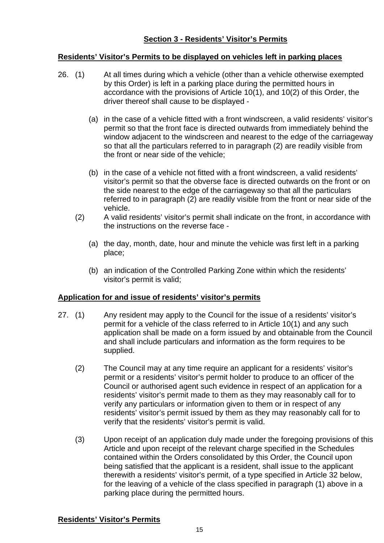## **Section 3 - Residents' Visitor's Permits**

## **Residents' Visitor's Permits to be displayed on vehicles left in parking places**

- 26. (1) At all times during which a vehicle (other than a vehicle otherwise exempted by this Order) is left in a parking place during the permitted hours in accordance with the provisions of Article 10(1), and 10(2) of this Order, the driver thereof shall cause to be displayed -
	- (a) in the case of a vehicle fitted with a front windscreen, a valid residents' visitor's permit so that the front face is directed outwards from immediately behind the window adjacent to the windscreen and nearest to the edge of the carriageway so that all the particulars referred to in paragraph (2) are readily visible from the front or near side of the vehicle;
	- (b) in the case of a vehicle not fitted with a front windscreen, a valid residents' visitor's permit so that the obverse face is directed outwards on the front or on the side nearest to the edge of the carriageway so that all the particulars referred to in paragraph (2) are readily visible from the front or near side of the vehicle.
	- (2) A valid residents' visitor's permit shall indicate on the front, in accordance with the instructions on the reverse face -
		- (a) the day, month, date, hour and minute the vehicle was first left in a parking place;
		- (b) an indication of the Controlled Parking Zone within which the residents' visitor's permit is valid;

## **Application for and issue of residents' visitor's permits**

- 27. (1) Any resident may apply to the Council for the issue of a residents' visitor's permit for a vehicle of the class referred to in Article 10(1) and any such application shall be made on a form issued by and obtainable from the Council and shall include particulars and information as the form requires to be supplied.
	- (2) The Council may at any time require an applicant for a residents' visitor's permit or a residents' visitor's permit holder to produce to an officer of the Council or authorised agent such evidence in respect of an application for a residents' visitor's permit made to them as they may reasonably call for to verify any particulars or information given to them or in respect of any residents' visitor's permit issued by them as they may reasonably call for to verify that the residents' visitor's permit is valid.
	- (3) Upon receipt of an application duly made under the foregoing provisions of this Article and upon receipt of the relevant charge specified in the Schedules contained within the Orders consolidated by this Order, the Council upon being satisfied that the applicant is a resident, shall issue to the applicant therewith a residents' visitor's permit, of a type specified in Article 32 below, for the leaving of a vehicle of the class specified in paragraph (1) above in a parking place during the permitted hours.

#### **Residents' Visitor's Permits**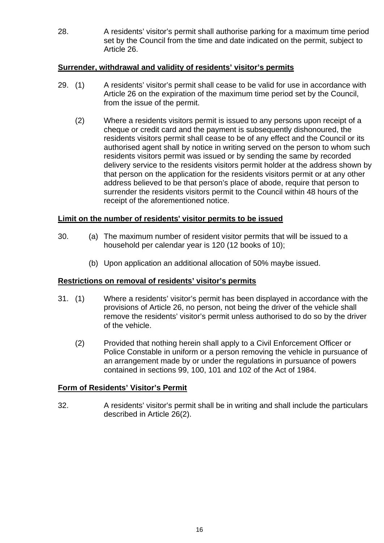28. A residents' visitor's permit shall authorise parking for a maximum time period set by the Council from the time and date indicated on the permit, subject to Article 26.

#### **Surrender, withdrawal and validity of residents' visitor's permits**

- 29. (1) A residents' visitor's permit shall cease to be valid for use in accordance with Article 26 on the expiration of the maximum time period set by the Council, from the issue of the permit.
	- (2) Where a residents visitors permit is issued to any persons upon receipt of a cheque or credit card and the payment is subsequently dishonoured, the residents visitors permit shall cease to be of any effect and the Council or its authorised agent shall by notice in writing served on the person to whom such residents visitors permit was issued or by sending the same by recorded delivery service to the residents visitors permit holder at the address shown by that person on the application for the residents visitors permit or at any other address believed to be that person's place of abode, require that person to surrender the residents visitors permit to the Council within 48 hours of the receipt of the aforementioned notice.

#### **Limit on the number of residents' visitor permits to be issued**

- 30. (a) The maximum number of resident visitor permits that will be issued to a household per calendar year is 120 (12 books of 10);
	- (b) Upon application an additional allocation of 50% maybe issued.

#### **Restrictions on removal of residents' visitor's permits**

- 31. (1) Where a residents' visitor's permit has been displayed in accordance with the provisions of Article 26, no person, not being the driver of the vehicle shall remove the residents' visitor's permit unless authorised to do so by the driver of the vehicle.
	- (2) Provided that nothing herein shall apply to a Civil Enforcement Officer or Police Constable in uniform or a person removing the vehicle in pursuance of an arrangement made by or under the regulations in pursuance of powers contained in sections 99, 100, 101 and 102 of the Act of 1984.

## **Form of Residents' Visitor's Permit**

32. A residents' visitor's permit shall be in writing and shall include the particulars described in Article 26(2).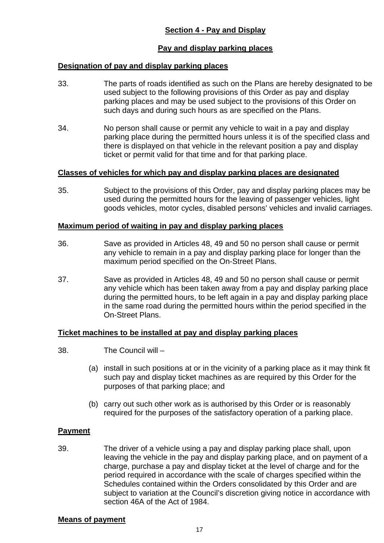## **Pay and display parking places**

## **Designation of pay and display parking places**

- 33. The parts of roads identified as such on the Plans are hereby designated to be used subject to the following provisions of this Order as pay and display parking places and may be used subject to the provisions of this Order on such days and during such hours as are specified on the Plans.
- 34. No person shall cause or permit any vehicle to wait in a pay and display parking place during the permitted hours unless it is of the specified class and there is displayed on that vehicle in the relevant position a pay and display ticket or permit valid for that time and for that parking place.

## **Classes of vehicles for which pay and display parking places are designated**

35. Subject to the provisions of this Order, pay and display parking places may be used during the permitted hours for the leaving of passenger vehicles, light goods vehicles, motor cycles, disabled persons' vehicles and invalid carriages.

#### **Maximum period of waiting in pay and display parking places**

- 36. Save as provided in Articles 48, 49 and 50 no person shall cause or permit any vehicle to remain in a pay and display parking place for longer than the maximum period specified on the On-Street Plans.
- 37. Save as provided in Articles 48, 49 and 50 no person shall cause or permit any vehicle which has been taken away from a pay and display parking place during the permitted hours, to be left again in a pay and display parking place in the same road during the permitted hours within the period specified in the On-Street Plans.

## **Ticket machines to be installed at pay and display parking places**

- 38. The Council will
	- (a) install in such positions at or in the vicinity of a parking place as it may think fit such pay and display ticket machines as are required by this Order for the purposes of that parking place; and
	- (b) carry out such other work as is authorised by this Order or is reasonably required for the purposes of the satisfactory operation of a parking place.

## **Payment**

39. The driver of a vehicle using a pay and display parking place shall, upon leaving the vehicle in the pay and display parking place, and on payment of a charge, purchase a pay and display ticket at the level of charge and for the period required in accordance with the scale of charges specified within the Schedules contained within the Orders consolidated by this Order and are subject to variation at the Council's discretion giving notice in accordance with section 46A of the Act of 1984.

## **Means of payment**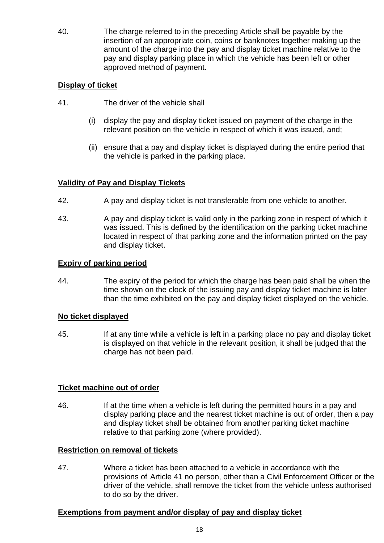40. The charge referred to in the preceding Article shall be payable by the insertion of an appropriate coin, coins or banknotes together making up the amount of the charge into the pay and display ticket machine relative to the pay and display parking place in which the vehicle has been left or other approved method of payment.

## **Display of ticket**

- 41. The driver of the vehicle shall
	- (i) display the pay and display ticket issued on payment of the charge in the relevant position on the vehicle in respect of which it was issued, and;
	- (ii) ensure that a pay and display ticket is displayed during the entire period that the vehicle is parked in the parking place.

## **Validity of Pay and Display Tickets**

- 42. A pay and display ticket is not transferable from one vehicle to another.
- 43. A pay and display ticket is valid only in the parking zone in respect of which it was issued. This is defined by the identification on the parking ticket machine located in respect of that parking zone and the information printed on the pay and display ticket.

## **Expiry of parking period**

44. The expiry of the period for which the charge has been paid shall be when the time shown on the clock of the issuing pay and display ticket machine is later than the time exhibited on the pay and display ticket displayed on the vehicle.

## **No ticket displayed**

45. If at any time while a vehicle is left in a parking place no pay and display ticket is displayed on that vehicle in the relevant position, it shall be judged that the charge has not been paid.

## **Ticket machine out of order**

46. If at the time when a vehicle is left during the permitted hours in a pay and display parking place and the nearest ticket machine is out of order, then a pay and display ticket shall be obtained from another parking ticket machine relative to that parking zone (where provided).

## **Restriction on removal of tickets**

47. Where a ticket has been attached to a vehicle in accordance with the provisions of Article 41 no person, other than a Civil Enforcement Officer or the driver of the vehicle, shall remove the ticket from the vehicle unless authorised to do so by the driver.

## **Exemptions from payment and/or display of pay and display ticket**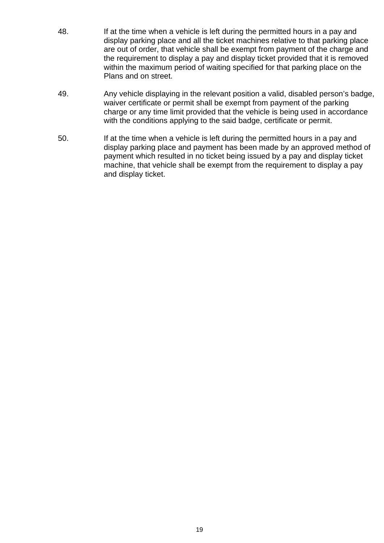- 48. If at the time when a vehicle is left during the permitted hours in a pay and display parking place and all the ticket machines relative to that parking place are out of order, that vehicle shall be exempt from payment of the charge and the requirement to display a pay and display ticket provided that it is removed within the maximum period of waiting specified for that parking place on the Plans and on street.
- 49. Any vehicle displaying in the relevant position a valid, disabled person's badge, waiver certificate or permit shall be exempt from payment of the parking charge or any time limit provided that the vehicle is being used in accordance with the conditions applying to the said badge, certificate or permit.
- 50. If at the time when a vehicle is left during the permitted hours in a pay and display parking place and payment has been made by an approved method of payment which resulted in no ticket being issued by a pay and display ticket machine, that vehicle shall be exempt from the requirement to display a pay and display ticket.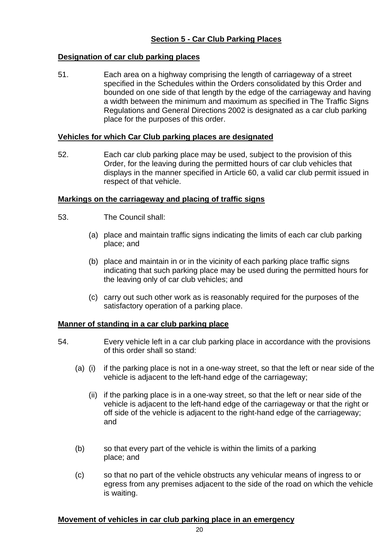# **Section 5 - Car Club Parking Places**

## **Designation of car club parking places**

51. Each area on a highway comprising the length of carriageway of a street specified in the Schedules within the Orders consolidated by this Order and bounded on one side of that length by the edge of the carriageway and having a width between the minimum and maximum as specified in The Traffic Signs Regulations and General Directions 2002 is designated as a car club parking place for the purposes of this order.

#### **Vehicles for which Car Club parking places are designated**

52. Each car club parking place may be used, subject to the provision of this Order, for the leaving during the permitted hours of car club vehicles that displays in the manner specified in Article 60, a valid car club permit issued in respect of that vehicle.

#### **Markings on the carriageway and placing of traffic signs**

- 53. The Council shall:
	- (a) place and maintain traffic signs indicating the limits of each car club parking place; and
	- (b) place and maintain in or in the vicinity of each parking place traffic signs indicating that such parking place may be used during the permitted hours for the leaving only of car club vehicles; and
	- (c) carry out such other work as is reasonably required for the purposes of the satisfactory operation of a parking place.

## **Manner of standing in a car club parking place**

- 54. Every vehicle left in a car club parking place in accordance with the provisions of this order shall so stand:
	- (a) (i) if the parking place is not in a one-way street, so that the left or near side of the vehicle is adjacent to the left-hand edge of the carriageway;
		- (ii) if the parking place is in a one-way street, so that the left or near side of the vehicle is adjacent to the left-hand edge of the carriageway or that the right or off side of the vehicle is adjacent to the right-hand edge of the carriageway; and
	- (b) so that every part of the vehicle is within the limits of a parking place; and
	- (c) so that no part of the vehicle obstructs any vehicular means of ingress to or egress from any premises adjacent to the side of the road on which the vehicle is waiting.

#### **Movement of vehicles in car club parking place in an emergency**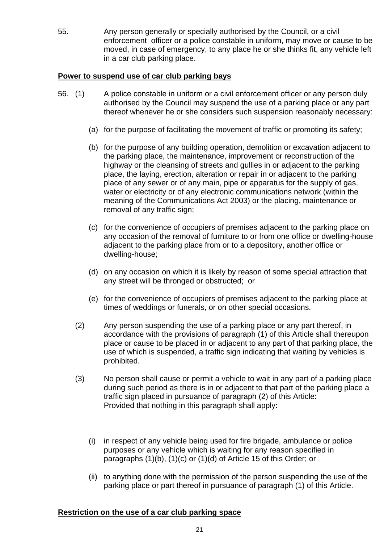55. Any person generally or specially authorised by the Council, or a civil enforcement officer or a police constable in uniform, may move or cause to be moved, in case of emergency, to any place he or she thinks fit, any vehicle left in a car club parking place.

## **Power to suspend use of car club parking bays**

- 56. (1) A police constable in uniform or a civil enforcement officer or any person duly authorised by the Council may suspend the use of a parking place or any part thereof whenever he or she considers such suspension reasonably necessary:
	- (a) for the purpose of facilitating the movement of traffic or promoting its safety;
	- (b) for the purpose of any building operation, demolition or excavation adjacent to the parking place, the maintenance, improvement or reconstruction of the highway or the cleansing of streets and gullies in or adjacent to the parking place, the laying, erection, alteration or repair in or adjacent to the parking place of any sewer or of any main, pipe or apparatus for the supply of gas, water or electricity or of any electronic communications network (within the meaning of the Communications Act 2003) or the placing, maintenance or removal of any traffic sign;
	- (c) for the convenience of occupiers of premises adjacent to the parking place on any occasion of the removal of furniture to or from one office or dwelling-house adjacent to the parking place from or to a depository, another office or dwelling-house;
	- (d) on any occasion on which it is likely by reason of some special attraction that any street will be thronged or obstructed; or
	- (e) for the convenience of occupiers of premises adjacent to the parking place at times of weddings or funerals, or on other special occasions.
	- (2) Any person suspending the use of a parking place or any part thereof, in accordance with the provisions of paragraph (1) of this Article shall thereupon place or cause to be placed in or adjacent to any part of that parking place, the use of which is suspended, a traffic sign indicating that waiting by vehicles is prohibited.
	- (3) No person shall cause or permit a vehicle to wait in any part of a parking place during such period as there is in or adjacent to that part of the parking place a traffic sign placed in pursuance of paragraph (2) of this Article: Provided that nothing in this paragraph shall apply:
		- (i) in respect of any vehicle being used for fire brigade, ambulance or police purposes or any vehicle which is waiting for any reason specified in paragraphs (1)(b), (1)(c) or (1)(d) of Article 15 of this Order; or
		- (ii) to anything done with the permission of the person suspending the use of the parking place or part thereof in pursuance of paragraph (1) of this Article.

## **Restriction on the use of a car club parking space**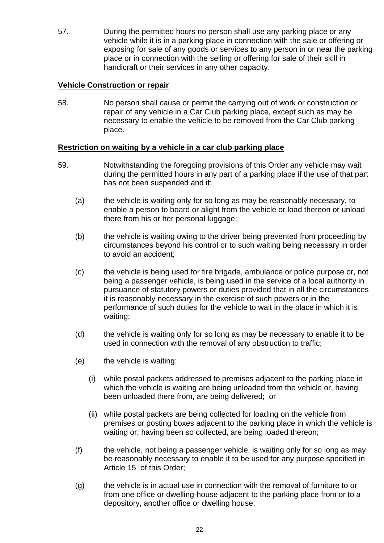57. During the permitted hours no person shall use any parking place or any vehicle while it is in a parking place in connection with the sale or offering or exposing for sale of any goods or services to any person in or near the parking place or in connection with the selling or offering for sale of their skill in handicraft or their services in any other capacity.

## **Vehicle Construction or repair**

58. No person shall cause or permit the carrying out of work or construction or repair of any vehicle in a Car Club parking place, except such as may be necessary to enable the vehicle to be removed from the Car Club parking place.

## **Restriction on waiting by a vehicle in a car club parking place**

- 59. Notwithstanding the foregoing provisions of this Order any vehicle may wait during the permitted hours in any part of a parking place if the use of that part has not been suspended and if:
	- (a) the vehicle is waiting only for so long as may be reasonably necessary, to enable a person to board or alight from the vehicle or load thereon or unload there from his or her personal luggage;
	- (b) the vehicle is waiting owing to the driver being prevented from proceeding by circumstances beyond his control or to such waiting being necessary in order to avoid an accident;
	- (c) the vehicle is being used for fire brigade, ambulance or police purpose or, not being a passenger vehicle, is being used in the service of a local authority in pursuance of statutory powers or duties provided that in all the circumstances it is reasonably necessary in the exercise of such powers or in the performance of such duties for the vehicle to wait in the place in which it is waiting;
	- (d) the vehicle is waiting only for so long as may be necessary to enable it to be used in connection with the removal of any obstruction to traffic;
	- (e) the vehicle is waiting:
		- (i) while postal packets addressed to premises adjacent to the parking place in which the vehicle is waiting are being unloaded from the vehicle or, having been unloaded there from, are being delivered; or
		- (ii) while postal packets are being collected for loading on the vehicle from premises or posting boxes adjacent to the parking place in which the vehicle is waiting or, having been so collected, are being loaded thereon;
	- (f) the vehicle, not being a passenger vehicle, is waiting only for so long as may be reasonably necessary to enable it to be used for any purpose specified in Article 15 of this Order;
	- (g) the vehicle is in actual use in connection with the removal of furniture to or from one office or dwelling-house adjacent to the parking place from or to a depository, another office or dwelling house;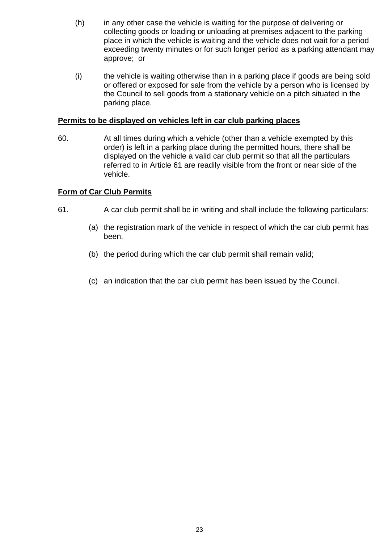- (h) in any other case the vehicle is waiting for the purpose of delivering or collecting goods or loading or unloading at premises adjacent to the parking place in which the vehicle is waiting and the vehicle does not wait for a period exceeding twenty minutes or for such longer period as a parking attendant may approve; or
- (i) the vehicle is waiting otherwise than in a parking place if goods are being sold or offered or exposed for sale from the vehicle by a person who is licensed by the Council to sell goods from a stationary vehicle on a pitch situated in the parking place.

## **Permits to be displayed on vehicles left in car club parking places**

60. At all times during which a vehicle (other than a vehicle exempted by this order) is left in a parking place during the permitted hours, there shall be displayed on the vehicle a valid car club permit so that all the particulars referred to in Article 61 are readily visible from the front or near side of the vehicle.

## **Form of Car Club Permits**

- 61. A car club permit shall be in writing and shall include the following particulars:
	- (a) the registration mark of the vehicle in respect of which the car club permit has been.
	- (b) the period during which the car club permit shall remain valid;
	- (c) an indication that the car club permit has been issued by the Council.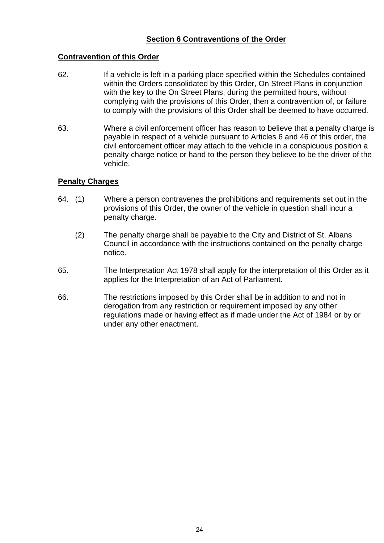## **Section 6 Contraventions of the Order**

## **Contravention of this Order**

- 62. If a vehicle is left in a parking place specified within the Schedules contained within the Orders consolidated by this Order, On Street Plans in conjunction with the key to the On Street Plans, during the permitted hours, without complying with the provisions of this Order, then a contravention of, or failure to comply with the provisions of this Order shall be deemed to have occurred.
- 63. Where a civil enforcement officer has reason to believe that a penalty charge is payable in respect of a vehicle pursuant to Articles 6 and 46 of this order, the civil enforcement officer may attach to the vehicle in a conspicuous position a penalty charge notice or hand to the person they believe to be the driver of the vehicle.

## **Penalty Charges**

- 64. (1) Where a person contravenes the prohibitions and requirements set out in the provisions of this Order, the owner of the vehicle in question shall incur a penalty charge.
	- (2) The penalty charge shall be payable to the City and District of St. Albans Council in accordance with the instructions contained on the penalty charge notice.
- 65. The Interpretation Act 1978 shall apply for the interpretation of this Order as it applies for the Interpretation of an Act of Parliament.
- 66. The restrictions imposed by this Order shall be in addition to and not in derogation from any restriction or requirement imposed by any other regulations made or having effect as if made under the Act of 1984 or by or under any other enactment.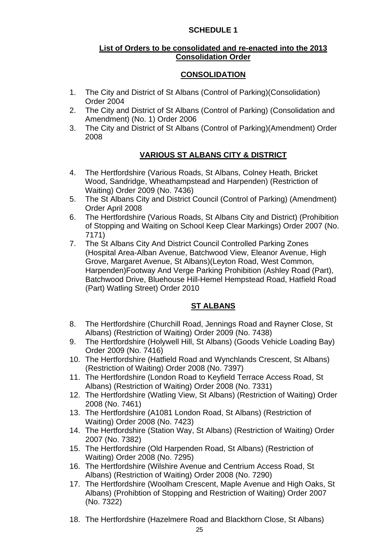## **SCHEDULE 1**

## **List of Orders to be consolidated and re-enacted into the 2013 Consolidation Order**

## **CONSOLIDATION**

- 1. The City and District of St Albans (Control of Parking)(Consolidation) Order 2004
- 2. The City and District of St Albans (Control of Parking) (Consolidation and Amendment) (No. 1) Order 2006
- 3. The City and District of St Albans (Control of Parking)(Amendment) Order 2008

# **VARIOUS ST ALBANS CITY & DISTRICT**

- 4. The Hertfordshire (Various Roads, St Albans, Colney Heath, Bricket Wood, Sandridge, Wheathampstead and Harpenden) (Restriction of Waiting) Order 2009 (No. 7436)
- 5. The St Albans City and District Council (Control of Parking) (Amendment) Order April 2008
- 6. The Hertfordshire (Various Roads, St Albans City and District) (Prohibition of Stopping and Waiting on School Keep Clear Markings) Order 2007 (No. 7171)
- 7. The St Albans City And District Council Controlled Parking Zones (Hospital Area-Alban Avenue, Batchwood View, Eleanor Avenue, High Grove, Margaret Avenue, St Albans)(Leyton Road, West Common, Harpenden)Footway And Verge Parking Prohibition (Ashley Road (Part), Batchwood Drive, Bluehouse Hill-Hemel Hempstead Road, Hatfield Road (Part) Watling Street) Order 2010

# **ST ALBANS**

- 8. The Hertfordshire (Churchill Road, Jennings Road and Rayner Close, St Albans) (Restriction of Waiting) Order 2009 (No. 7438)
- 9. The Hertfordshire (Holywell Hill, St Albans) (Goods Vehicle Loading Bay) Order 2009 (No. 7416)
- 10. The Hertfordshire (Hatfield Road and Wynchlands Crescent, St Albans) (Restriction of Waiting) Order 2008 (No. 7397)
- 11. The Hertfordshire (London Road to Keyfield Terrace Access Road, St Albans) (Restriction of Waiting) Order 2008 (No. 7331)
- 12. The Hertfordshire (Watling View, St Albans) (Restriction of Waiting) Order 2008 (No. 7461)
- 13. The Hertfordshire (A1081 London Road, St Albans) (Restriction of Waiting) Order 2008 (No. 7423)
- 14. The Hertfordshire (Station Way, St Albans) (Restriction of Waiting) Order 2007 (No. 7382)
- 15. The Hertfordshire (Old Harpenden Road, St Albans) (Restriction of Waiting) Order 2008 (No. 7295)
- 16. The Hertfordshire (Wilshire Avenue and Centrium Access Road, St Albans) (Restriction of Waiting) Order 2008 (No. 7290)
- 17. The Hertfordshire (Woolham Crescent, Maple Avenue and High Oaks, St Albans) (Prohibtion of Stopping and Restriction of Waiting) Order 2007 (No. 7322)
- 18. The Hertfordshire (Hazelmere Road and Blackthorn Close, St Albans)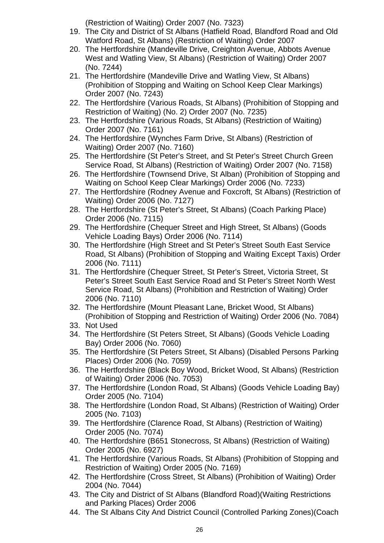(Restriction of Waiting) Order 2007 (No. 7323)

- 19. The City and District of St Albans (Hatfield Road, Blandford Road and Old Watford Road, St Albans) (Restriction of Waiting) Order 2007
- 20. The Hertfordshire (Mandeville Drive, Creighton Avenue, Abbots Avenue West and Watling View, St Albans) (Restriction of Waiting) Order 2007 (No. 7244)
- 21. The Hertfordshire (Mandeville Drive and Watling View, St Albans) (Prohibition of Stopping and Waiting on School Keep Clear Markings) Order 2007 (No. 7243)
- 22. The Hertfordshire (Various Roads, St Albans) (Prohibition of Stopping and Restriction of Waiting) (No. 2) Order 2007 (No. 7235)
- 23. The Hertfordshire (Various Roads, St Albans) (Restriction of Waiting) Order 2007 (No. 7161)
- 24. The Hertfordshire (Wynches Farm Drive, St Albans) (Restriction of Waiting) Order 2007 (No. 7160)
- 25. The Hertfordshire (St Peter's Street, and St Peter's Street Church Green Service Road, St Albans) (Restriction of Waiting) Order 2007 (No. 7158)
- 26. The Hertfordshire (Townsend Drive, St Alban) (Prohibition of Stopping and Waiting on School Keep Clear Markings) Order 2006 (No. 7233)
- 27. The Hertfordshire (Rodney Avenue and Foxcroft, St Albans) (Restriction of Waiting) Order 2006 (No. 7127)
- 28. The Hertfordshire (St Peter's Street, St Albans) (Coach Parking Place) Order 2006 (No. 7115)
- 29. The Hertfordshire (Chequer Street and High Street, St Albans) (Goods Vehicle Loading Bays) Order 2006 (No. 7114)
- 30. The Hertfordshire (High Street and St Peter's Street South East Service Road, St Albans) (Prohibition of Stopping and Waiting Except Taxis) Order 2006 (No. 7111)
- 31. The Hertfordshire (Chequer Street, St Peter's Street, Victoria Street, St Peter's Street South East Service Road and St Peter's Street North West Service Road, St Albans) (Prohibition and Restriction of Waiting) Order 2006 (No. 7110)
- 32. The Hertfordshire (Mount Pleasant Lane, Bricket Wood, St Albans) (Prohibition of Stopping and Restriction of Waiting) Order 2006 (No. 7084)
- 33. Not Used
- 34. The Hertfordshire (St Peters Street, St Albans) (Goods Vehicle Loading Bay) Order 2006 (No. 7060)
- 35. The Hertfordshire (St Peters Street, St Albans) (Disabled Persons Parking Places) Order 2006 (No. 7059)
- 36. The Hertfordshire (Black Boy Wood, Bricket Wood, St Albans) (Restriction of Waiting) Order 2006 (No. 7053)
- 37. The Hertfordshire (London Road, St Albans) (Goods Vehicle Loading Bay) Order 2005 (No. 7104)
- 38. The Hertfordshire (London Road, St Albans) (Restriction of Waiting) Order 2005 (No. 7103)
- 39. The Hertfordshire (Clarence Road, St Albans) (Restriction of Waiting) Order 2005 (No. 7074)
- 40. The Hertfordshire (B651 Stonecross, St Albans) (Restriction of Waiting) Order 2005 (No. 6927)
- 41. The Hertfordshire (Various Roads, St Albans) (Prohibition of Stopping and Restriction of Waiting) Order 2005 (No. 7169)
- 42. The Hertfordshire (Cross Street, St Albans) (Prohibition of Waiting) Order 2004 (No. 7044)
- 43. The City and District of St Albans (Blandford Road)(Waiting Restrictions and Parking Places) Order 2006
- 44. The St Albans City And District Council (Controlled Parking Zones)(Coach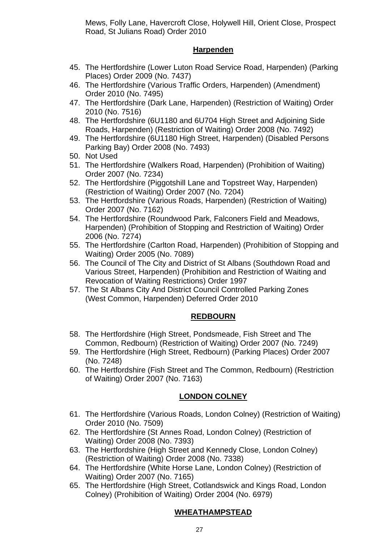Mews, Folly Lane, Havercroft Close, Holywell Hill, Orient Close, Prospect Road, St Julians Road) Order 2010

## **Harpenden**

- 45. The Hertfordshire (Lower Luton Road Service Road, Harpenden) (Parking Places) Order 2009 (No. 7437)
- 46. The Hertfordshire (Various Traffic Orders, Harpenden) (Amendment) Order 2010 (No. 7495)
- 47. The Hertfordshire (Dark Lane, Harpenden) (Restriction of Waiting) Order 2010 (No. 7516)
- 48. The Hertfordshire (6U1180 and 6U704 High Street and Adjoining Side Roads, Harpenden) (Restriction of Waiting) Order 2008 (No. 7492)
- 49. The Hertfordshire (6U1180 High Street, Harpenden) (Disabled Persons Parking Bay) Order 2008 (No. 7493)
- 50. Not Used
- 51. The Hertfordshire (Walkers Road, Harpenden) (Prohibition of Waiting) Order 2007 (No. 7234)
- 52. The Hertfordshire (Piggotshill Lane and Topstreet Way, Harpenden) (Restriction of Waiting) Order 2007 (No. 7204)
- 53. The Hertfordshire (Various Roads, Harpenden) (Restriction of Waiting) Order 2007 (No. 7162)
- 54. The Hertfordshire (Roundwood Park, Falconers Field and Meadows, Harpenden) (Prohibition of Stopping and Restriction of Waiting) Order 2006 (No. 7274)
- 55. The Hertfordshire (Carlton Road, Harpenden) (Prohibition of Stopping and Waiting) Order 2005 (No. 7089)
- 56. The Council of The City and District of St Albans (Southdown Road and Various Street, Harpenden) (Prohibition and Restriction of Waiting and Revocation of Waiting Restrictions) Order 1997
- 57. The St Albans City And District Council Controlled Parking Zones (West Common, Harpenden) Deferred Order 2010

# **REDBOURN**

- 58. The Hertfordshire (High Street, Pondsmeade, Fish Street and The Common, Redbourn) (Restriction of Waiting) Order 2007 (No. 7249)
- 59. The Hertfordshire (High Street, Redbourn) (Parking Places) Order 2007 (No. 7248)
- 60. The Hertfordshire (Fish Street and The Common, Redbourn) (Restriction of Waiting) Order 2007 (No. 7163)

## **LONDON COLNEY**

- 61. The Hertfordshire (Various Roads, London Colney) (Restriction of Waiting) Order 2010 (No. 7509)
- 62. The Hertfordshire (St Annes Road, London Colney) (Restriction of Waiting) Order 2008 (No. 7393)
- 63. The Hertfordshire (High Street and Kennedy Close, London Colney) (Restriction of Waiting) Order 2008 (No. 7338)
- 64. The Hertfordshire (White Horse Lane, London Colney) (Restriction of Waiting) Order 2007 (No. 7165)
- 65. The Hertfordshire (High Street, Cotlandswick and Kings Road, London Colney) (Prohibition of Waiting) Order 2004 (No. 6979)

# **WHEATHAMPSTEAD**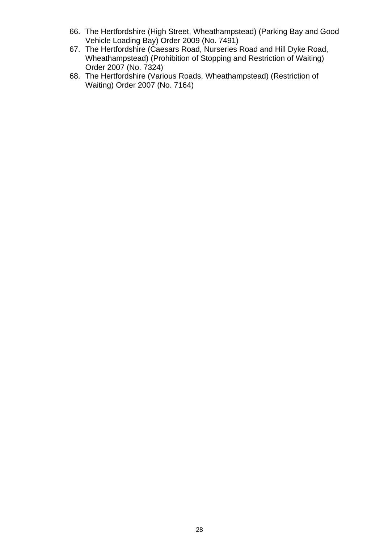- 66. The Hertfordshire (High Street, Wheathampstead) (Parking Bay and Good Vehicle Loading Bay) Order 2009 (No. 7491)
- 67. The Hertfordshire (Caesars Road, Nurseries Road and Hill Dyke Road, Wheathampstead) (Prohibition of Stopping and Restriction of Waiting) Order 2007 (No. 7324)
- 68. The Hertfordshire (Various Roads, Wheathampstead) (Restriction of Waiting) Order 2007 (No. 7164)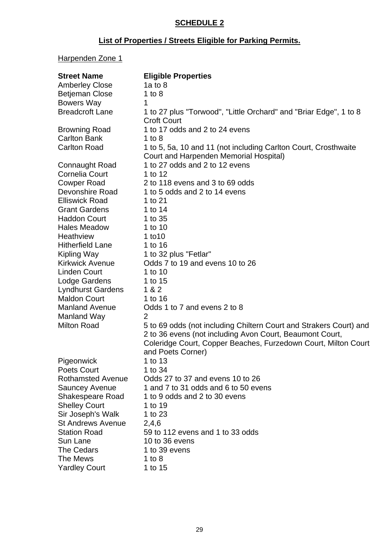# **SCHEDULE 2**

# **List of Properties / Streets Eligible for Parking Permits.**

# Harpenden Zone 1

| <b>Street Name</b>                               | <b>Eligible Properties</b>                                                                                                                                                                                            |
|--------------------------------------------------|-----------------------------------------------------------------------------------------------------------------------------------------------------------------------------------------------------------------------|
| <b>Amberley Close</b>                            | 1a to $8$                                                                                                                                                                                                             |
| <b>Betjeman Close</b>                            | 1 to $8$                                                                                                                                                                                                              |
| <b>Bowers Way</b>                                | 1                                                                                                                                                                                                                     |
| <b>Breadcroft Lane</b>                           | 1 to 27 plus "Torwood", "Little Orchard" and "Briar Edge", 1 to 8<br><b>Croft Court</b>                                                                                                                               |
| <b>Browning Road</b>                             | 1 to 17 odds and 2 to 24 evens                                                                                                                                                                                        |
| <b>Carlton Bank</b>                              | 1 to $8$                                                                                                                                                                                                              |
| <b>Carlton Road</b>                              | 1 to 5, 5a, 10 and 11 (not including Carlton Court, Crosthwaite                                                                                                                                                       |
|                                                  | Court and Harpenden Memorial Hospital)                                                                                                                                                                                |
| <b>Connaught Road</b>                            | 1 to 27 odds and 2 to 12 evens                                                                                                                                                                                        |
| <b>Cornelia Court</b>                            | 1 to 12                                                                                                                                                                                                               |
| <b>Cowper Road</b>                               | 2 to 118 evens and 3 to 69 odds                                                                                                                                                                                       |
| Devonshire Road                                  | 1 to 5 odds and 2 to 14 evens                                                                                                                                                                                         |
| <b>Elliswick Road</b>                            | 1 to 21                                                                                                                                                                                                               |
| <b>Grant Gardens</b>                             | 1 to 14                                                                                                                                                                                                               |
| <b>Haddon Court</b>                              | 1 to 35                                                                                                                                                                                                               |
| <b>Hales Meadow</b>                              | 1 to 10                                                                                                                                                                                                               |
| <b>Heathview</b>                                 | $1$ to $10$                                                                                                                                                                                                           |
| <b>Hitherfield Lane</b>                          | 1 to 16                                                                                                                                                                                                               |
| Kipling Way                                      | 1 to 32 plus "Fetlar"                                                                                                                                                                                                 |
| <b>Kirkwick Avenue</b>                           | Odds 7 to 19 and evens 10 to 26                                                                                                                                                                                       |
| <b>Linden Court</b>                              | 1 to 10                                                                                                                                                                                                               |
| Lodge Gardens                                    | 1 to 15                                                                                                                                                                                                               |
| <b>Lyndhurst Gardens</b>                         | 1 & 2                                                                                                                                                                                                                 |
| <b>Maldon Court</b>                              | 1 to 16                                                                                                                                                                                                               |
| <b>Manland Avenue</b>                            | Odds 1 to 7 and evens 2 to 8                                                                                                                                                                                          |
| Manland Way                                      | $\overline{2}$                                                                                                                                                                                                        |
| <b>Milton Road</b>                               | 5 to 69 odds (not including Chiltern Court and Strakers Court) and<br>2 to 36 evens (not including Avon Court, Beaumont Court,<br>Coleridge Court, Copper Beaches, Furzedown Court, Milton Court<br>and Poets Corner) |
| Pigeonwick                                       | 1 to $13$                                                                                                                                                                                                             |
| <b>Poets Court</b>                               | 1 to 34                                                                                                                                                                                                               |
| <b>Rothamsted Avenue</b>                         | Odds 27 to 37 and evens 10 to 26                                                                                                                                                                                      |
|                                                  | 1 and 7 to 31 odds and 6 to 50 evens                                                                                                                                                                                  |
| <b>Sauncey Avenue</b><br><b>Shakespeare Road</b> | 1 to 9 odds and 2 to 30 evens                                                                                                                                                                                         |
| <b>Shelley Court</b>                             | 1 to 19                                                                                                                                                                                                               |
|                                                  | 1 to 23                                                                                                                                                                                                               |
| Sir Joseph's Walk<br><b>St Andrews Avenue</b>    |                                                                                                                                                                                                                       |
| <b>Station Road</b>                              | 2,4,6<br>59 to 112 evens and 1 to 33 odds                                                                                                                                                                             |
|                                                  |                                                                                                                                                                                                                       |
| Sun Lane                                         | 10 to 36 evens                                                                                                                                                                                                        |
| <b>The Cedars</b>                                | 1 to 39 evens                                                                                                                                                                                                         |
| The Mews                                         | 1 to $8$                                                                                                                                                                                                              |
| <b>Yardley Court</b>                             | 1 to 15                                                                                                                                                                                                               |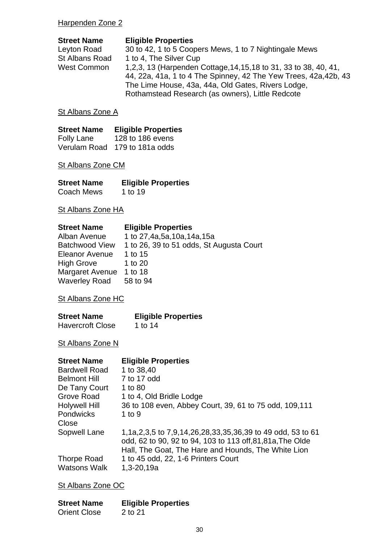## Harpenden Zone 2

| <b>Street Name</b>    | <b>Eligible Properties</b>                                                                                                                                                                                                                      |
|-----------------------|-------------------------------------------------------------------------------------------------------------------------------------------------------------------------------------------------------------------------------------------------|
| Leyton Road           | 30 to 42, 1 to 5 Coopers Mews, 1 to 7 Nightingale Mews                                                                                                                                                                                          |
| <b>St Albans Road</b> | 1 to 4, The Silver Cup                                                                                                                                                                                                                          |
| West Common           | 1,2,3, 13 (Harpenden Cottage, 14, 15, 18 to 31, 33 to 38, 40, 41,<br>44, 22a, 41a, 1 to 4 The Spinney, 42 The Yew Trees, 42a, 42b, 43<br>The Lime House, 43a, 44a, Old Gates, Rivers Lodge,<br>Rothamstead Research (as owners), Little Redcote |
|                       |                                                                                                                                                                                                                                                 |

# St Albans Zone A

| <b>Street Name</b> | <b>Eligible Properties</b>    |
|--------------------|-------------------------------|
| <b>Folly Lane</b>  | 128 to 186 evens              |
|                    | Verulam Road 179 to 181a odds |

# St Albans Zone CM

| <b>Street Name</b> | <b>Eligible Properties</b> |
|--------------------|----------------------------|
| Coach Mews         | 1 to 19                    |

St Albans Zone HA

| <b>Street Name</b>    | <b>Eligible Properties</b>               |
|-----------------------|------------------------------------------|
| Alban Avenue          | 1 to 27,4a,5a,10a,14a,15a                |
| <b>Batchwood View</b> | 1 to 26, 39 to 51 odds, St Augusta Court |
| <b>Eleanor Avenue</b> | 1 to 15                                  |
| <b>High Grove</b>     | 1 to 20                                  |
| Margaret Avenue       | 1 to 18                                  |
| <b>Waverley Road</b>  | 58 to 94                                 |

St Albans Zone HC

| <b>Street Name</b>      | <b>Eligible Properties</b> |
|-------------------------|----------------------------|
| <b>Havercroft Close</b> | 1 to 14                    |

St Albans Zone N

| <b>Street Name</b>   | <b>Eligible Properties</b>                                 |
|----------------------|------------------------------------------------------------|
| <b>Bardwell Road</b> | 1 to 38,40                                                 |
| <b>Belmont Hill</b>  | 7 to 17 odd                                                |
| De Tany Court        | 1 to 80                                                    |
| Grove Road           | 1 to 4, Old Bridle Lodge                                   |
| <b>Holywell Hill</b> | 36 to 108 even, Abbey Court, 39, 61 to 75 odd, 109,111     |
| <b>Pondwicks</b>     | 1 to $9$                                                   |
| Close                |                                                            |
| Sopwell Lane         | 1,1a,2,3,5 to 7,9,14,26,28,33,35,36,39 to 49 odd, 53 to 61 |
|                      | odd, 62 to 90, 92 to 94, 103 to 113 off, 81, 81a, The Olde |
|                      | Hall, The Goat, The Hare and Hounds, The White Lion        |
| <b>Thorpe Road</b>   | 1 to 45 odd, 22, 1-6 Printers Court                        |
| <b>Watsons Walk</b>  | 1,3-20,19a                                                 |

St Albans Zone OC

| <b>Street Name</b>  | <b>Eligible Properties</b> |
|---------------------|----------------------------|
| <b>Orient Close</b> | 2 to 21                    |